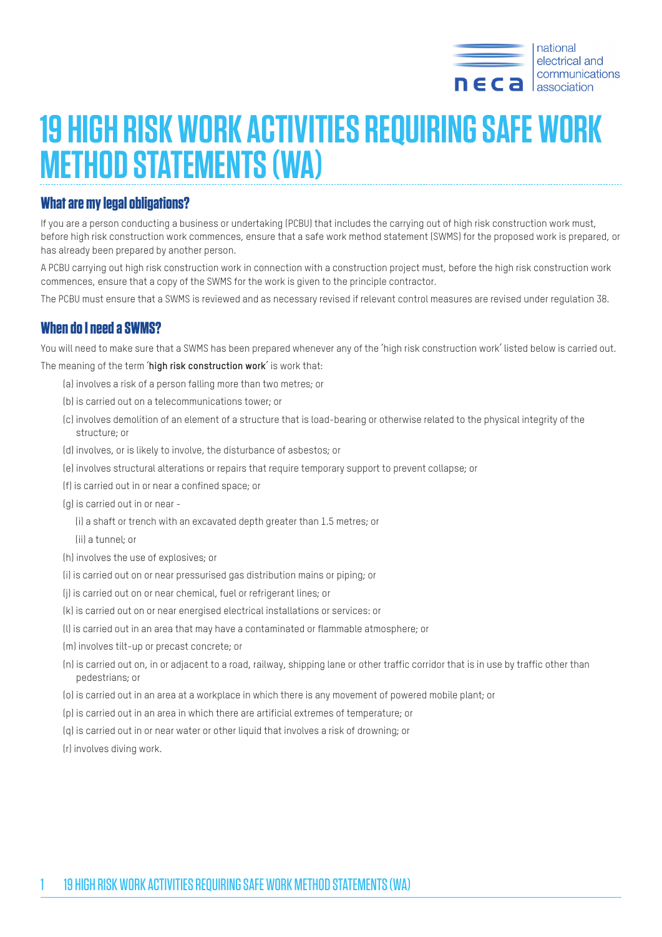

# **19 HIGH RISK WORK ACTIVITIES REQUIRING SAFE WORK METHOD STATEMENTS (WA)**

### **What are my legal obligations?**

If you are a person conducting a business or undertaking (PCBU) that includes the carrying out of high risk construction work must, before high risk construction work commences, ensure that a safe work method statement (SWMS) for the proposed work is prepared, or has already been prepared by another person.

A PCBU carrying out high risk construction work in connection with a construction project must, before the high risk construction work commences, ensure that a copy of the SWMS for the work is given to the principle contractor.

The PCBU must ensure that a SWMS is reviewed and as necessary revised if relevant control measures are revised under regulation 38.

## **When do I need a SWMS?**

You will need to make sure that a SWMS has been prepared whenever any of the 'high risk construction work' listed below is carried out.

The meaning of the term '**high risk construction work**' is work that:

- (a) involves a risk of a person falling more than two metres; or
- (b) is carried out on a telecommunications tower; or
- (c) involves demolition of an element of a structure that is load-bearing or otherwise related to the physical integrity of the structure; or
- (d) involves, or is likely to involve, the disturbance of asbestos; or
- (e) involves structural alterations or repairs that require temporary support to prevent collapse; or
- (f) is carried out in or near a confined space; or
- (g) is carried out in or near -

(i) a shaft or trench with an excavated depth greater than 1.5 metres; or

- (ii) a tunnel; or
- (h) involves the use of explosives; or
- (i) is carried out on or near pressurised gas distribution mains or piping; or
- (j) is carried out on or near chemical, fuel or refrigerant lines; or
- (k) is carried out on or near energised electrical installations or services: or
- (l) is carried out in an area that may have a contaminated or flammable atmosphere; or
- (m) involves tilt-up or precast concrete; or
- (n) is carried out on, in or adjacent to a road, railway, shipping lane or other traffic corridor that is in use by traffic other than pedestrians; or
- (o) is carried out in an area at a workplace in which there is any movement of powered mobile plant; or
- (p) is carried out in an area in which there are artificial extremes of temperature; or
- (q) is carried out in or near water or other liquid that involves a risk of drowning; or
- (r) involves diving work.